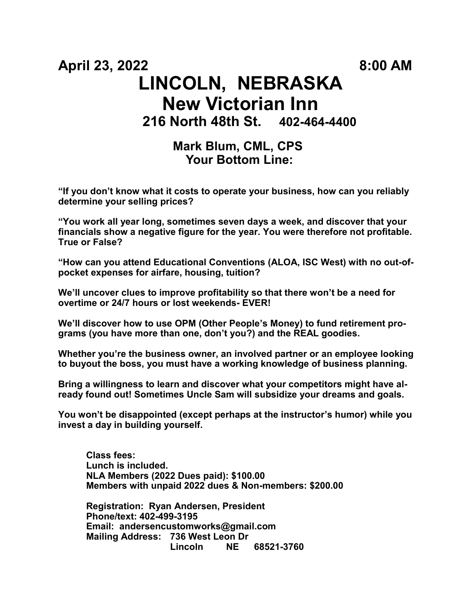# **April 23, 2022 8:00 AM LINCOLN, NEBRASKA New Victorian Inn 216 North 48th St. 402-464-4400**

# **Mark Blum, CML, CPS Your Bottom Line:**

**"If you don't know what it costs to operate your business, how can you reliably determine your selling prices?**

**"You work all year long, sometimes seven days a week, and discover that your financials show a negative figure for the year. You were therefore not profitable. True or False?**

**"How can you attend Educational Conventions (ALOA, ISC West) with no out-ofpocket expenses for airfare, housing, tuition?**

**We'll uncover clues to improve profitability so that there won't be a need for overtime or 24/7 hours or lost weekends- EVER!**

**We'll discover how to use OPM (Other People's Money) to fund retirement programs (you have more than one, don't you?) and the REAL goodies.**

**Whether you're the business owner, an involved partner or an employee looking to buyout the boss, you must have a working knowledge of business planning.**

**Bring a willingness to learn and discover what your competitors might have already found out! Sometimes Uncle Sam will subsidize your dreams and goals.**

**You won't be disappointed (except perhaps at the instructor's humor) while you invest a day in building yourself.**

**Class fees: Lunch is included. NLA Members (2022 Dues paid): \$100.00 Members with unpaid 2022 dues & Non-members: \$200.00**

**Registration: Ryan Andersen, President Phone/text: 402-499-3195 Email: andersencustomworks@gmail.com Mailing Address: 736 West Leon Dr Lincoln NE 68521-3760**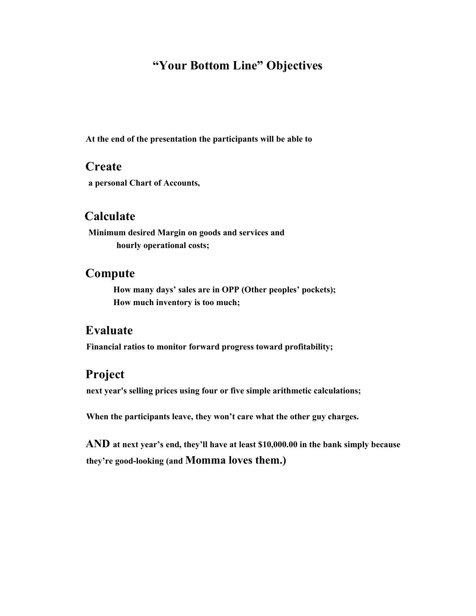# **"Your Bottom Line" Objectives**

**At the end of the presentation the participants will be able to** 

#### **Create**

**a personal Chart of Accounts,** 

## **Calculate**

**Minimum desired Margin on goods and services and hourly operational costs;**

#### **Compute**

**How many days' sales are in OPP (Other peoples' pockets); How much inventory is too much;**

## **Evaluate**

**Financial ratios to monitor forward progress toward profitability;**

## **Project**

**next year's selling prices using four or five simple arithmetic calculations;**

**When the participants leave, they won't care what the other guy charges.** 

**AND at next year's end, they'll have at least \$10,000.00 in the bank simply because they're good-looking (and Momma loves them.)**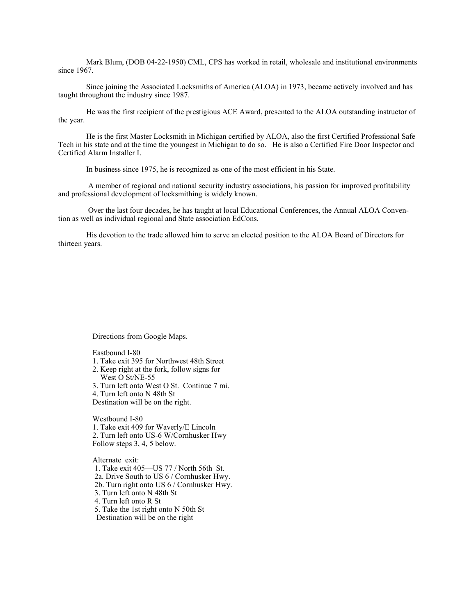Mark Blum, (DOB 04-22-1950) CML, CPS has worked in retail, wholesale and institutional environments since 1967.

Since joining the Associated Locksmiths of America (ALOA) in 1973, became actively involved and has taught throughout the industry since 1987.

He was the first recipient of the prestigious ACE Award, presented to the ALOA outstanding instructor of the year.

He is the first Master Locksmith in Michigan certified by ALOA, also the first Certified Professional Safe Tech in his state and at the time the youngest in Michigan to do so. He is also a Certified Fire Door Inspector and Certified Alarm Installer I.

In business since 1975, he is recognized as one of the most efficient in his State.

A member of regional and national security industry associations, his passion for improved profitability and professional development of locksmithing is widely known.

Over the last four decades, he has taught at local Educational Conferences, the Annual ALOA Convention as well as individual regional and State association EdCons.

His devotion to the trade allowed him to serve an elected position to the ALOA Board of Directors for thirteen years.

Directions from Google Maps.

Eastbound I-80

- 1. Take exit 395 for Northwest 48th Street
- 2. Keep right at the fork, follow signs for West O St/NE-55
- 3. Turn left onto West O St. Continue 7 mi.

4. Turn left onto N 48th St

Destination will be on the right.

Westbound I-80

1. Take exit 409 for Waverly/E Lincoln

2. Turn left onto US-6 W/Cornhusker Hwy

Follow steps 3, 4, 5 below.

Alternate exit:

1. Take exit 405—US 77 / North 56th St.

2a. Drive South to US 6 / Cornhusker Hwy. 2b. Turn right onto US 6 / Cornhusker Hwy.

3. Turn left onto N 48th St

4. Turn left onto R St

5. Take the 1st right onto N 50th St

Destination will be on the right